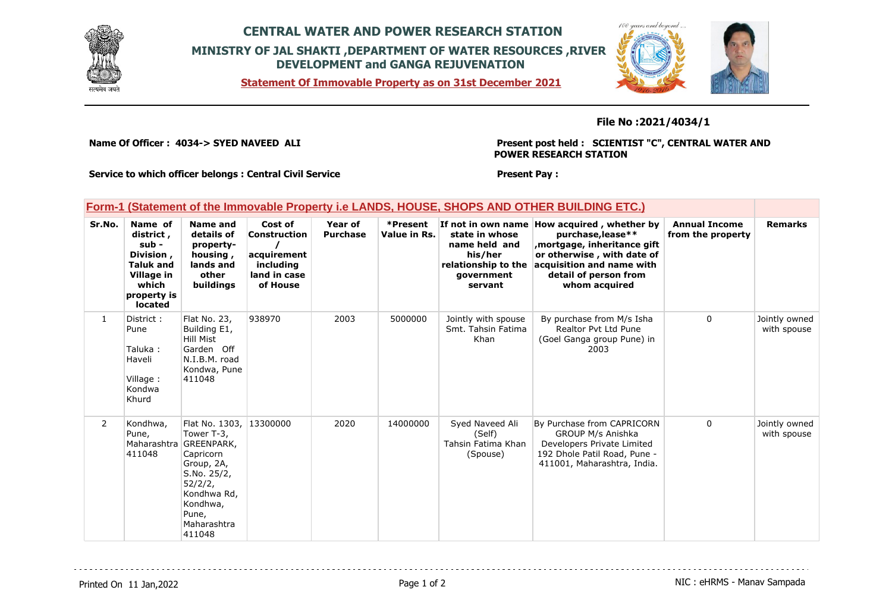

## **CENTRAL WATER AND POWER RESEARCH STATION MINISTRY OF JAL SHAKTI ,DEPARTMENT OF WATER RESOURCES ,RIVER DEVELOPMENT and GANGA REJUVENATION**

**Statement Of Immovable Property as on 31st December 2021**



## **File No :2021/4034/1**

**Name Of Officer : 4034-> SYED NAVEED ALI** 

**Present post held : SCIENTIST "C", CENTRAL WATER AND POWER RESEARCH STATION**

**Service to which officer belongs : Central Civil Service**

## **Present Pay :**

|  |  |  | Form-1 (Statement of the Immovable Property i.e LANDS, HOUSE, SHOPS AND OTHER BUILDING ETC.) |
|--|--|--|----------------------------------------------------------------------------------------------|
|--|--|--|----------------------------------------------------------------------------------------------|

| Sr.No.         | Name of<br>district,<br>sub -<br>Division,<br><b>Taluk and</b><br>Village in<br>which<br>property is<br><b>located</b> | Name and<br>details of<br>property-<br>housing,<br>lands and<br>other<br>buildings                                                                                       | Cost of<br>Construction<br>acquirement<br>including<br>land in case<br>of House | Year of<br><b>Purchase</b> | *Present<br>Value in Rs. | If not in own name<br>state in whose<br>name held and<br>his/her<br>relationship to the<br>qovernment<br>servant | How acquired, whether by<br>purchase, lease**<br>mortgage, inheritance gift,<br>or otherwise, with date of<br>acquisition and name with<br>detail of person from<br>whom acquired | <b>Annual Income</b><br>from the property | <b>Remarks</b>               |
|----------------|------------------------------------------------------------------------------------------------------------------------|--------------------------------------------------------------------------------------------------------------------------------------------------------------------------|---------------------------------------------------------------------------------|----------------------------|--------------------------|------------------------------------------------------------------------------------------------------------------|-----------------------------------------------------------------------------------------------------------------------------------------------------------------------------------|-------------------------------------------|------------------------------|
| $\mathbf{1}$   | District:<br>Pune<br>Taluka:<br>Haveli<br>Village:<br>Kondwa<br>Khurd                                                  | Flat No. 23,<br>Building E1,<br><b>Hill Mist</b><br>Garden Off<br>N.I.B.M. road<br>Kondwa, Pune<br>411048                                                                | 938970                                                                          | 2003                       | 5000000                  | Jointly with spouse<br>Smt. Tahsin Fatima<br>Khan                                                                | By purchase from M/s Isha<br>Realtor Pyt Ltd Pune<br>(Goel Ganga group Pune) in<br>2003                                                                                           | 0                                         | Jointly owned<br>with spouse |
| $\overline{2}$ | Kondhwa,<br>Pune,<br>411048                                                                                            | Flat No. 1303,<br>Tower T-3,<br>Maharashtra GREENPARK,<br>Capricorn<br>Group, 2A,<br>S.No. 25/2,<br>52/2/2,<br>Kondhwa Rd,<br>Kondhwa,<br>Pune,<br>Maharashtra<br>411048 | 13300000                                                                        | 2020                       | 14000000                 | Syed Naveed Ali<br>(Self)<br>Tahsin Fatima Khan<br>(Spouse)                                                      | By Purchase from CAPRICORN<br>GROUP M/s Anishka<br>Developers Private Limited<br>192 Dhole Patil Road, Pune -<br>411001, Maharashtra, India.                                      | $\mathbf 0$                               | Jointly owned<br>with spouse |

Printed On 11 Jan, 2022 **Page 1 of 2** Page 1 of 2 **Page 1 of 2** NIC : eHRMS - Manav Sampada